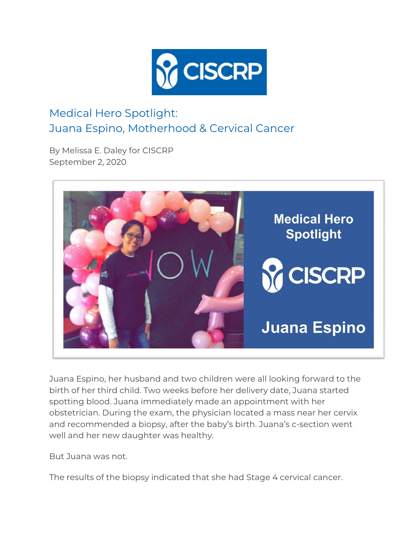

## Medical Hero Spotlight: Juana Espino, Motherhood & Cervical Cancer

By Melissa E. Daley for CISCRP September 2, 2020



Juana Espino, her husband and two children were all looking forward to the birth of her third child. Two weeks before her delivery date, Juana started spotting blood. Juana immediately made an appointment with her obstetrician. During the exam, the physician located a mass near her cervix and recommended a biopsy, after the baby's birth. Juana's c-section went well and her new daughter was healthy.

But Juana was not.

The results of the biopsy indicated that she had Stage 4 cervical cancer.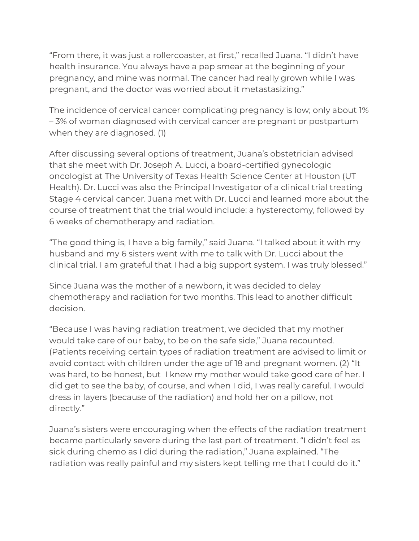"From there, it was just a rollercoaster, at first," recalled Juana. "I didn't have health insurance. You always have a pap smear at the beginning of your pregnancy, and mine was normal. The cancer had really grown while I was pregnant, and the doctor was worried about it metastasizing."

The incidence of cervical cancer complicating pregnancy is low; only about 1% – 3% of woman diagnosed with cervical cancer are pregnant or postpartum when they are diagnosed. (1)

After discussing several options of treatment, Juana's obstetrician advised that she meet with Dr. Joseph A. Lucci, a board-certified gynecologic oncologist at The University of Texas Health Science Center at Houston (UT Health). Dr. Lucci was also the Principal Investigator of a clinical trial treating Stage 4 cervical cancer. Juana met with Dr. Lucci and learned more about the course of treatment that the trial would include: a hysterectomy, followed by 6 weeks of chemotherapy and radiation.

"The good thing is, I have a big family," said Juana. "I talked about it with my husband and my 6 sisters went with me to talk with Dr. Lucci about the clinical trial. I am grateful that I had a big support system. I was truly blessed."

Since Juana was the mother of a newborn, it was decided to delay chemotherapy and radiation for two months. This lead to another difficult decision.

"Because I was having radiation treatment, we decided that my mother would take care of our baby, to be on the safe side," Juana recounted. (Patients receiving certain types of radiation treatment are advised to limit or avoid contact with children under the age of 18 and pregnant women. (2) "It was hard, to be honest, but I knew my mother would take good care of her. I did get to see the baby, of course, and when I did, I was really careful. I would dress in layers (because of the radiation) and hold her on a pillow, not directly."

Juana's sisters were encouraging when the effects of the radiation treatment became particularly severe during the last part of treatment. "I didn't feel as sick during chemo as I did during the radiation," Juana explained. "The radiation was really painful and my sisters kept telling me that I could do it."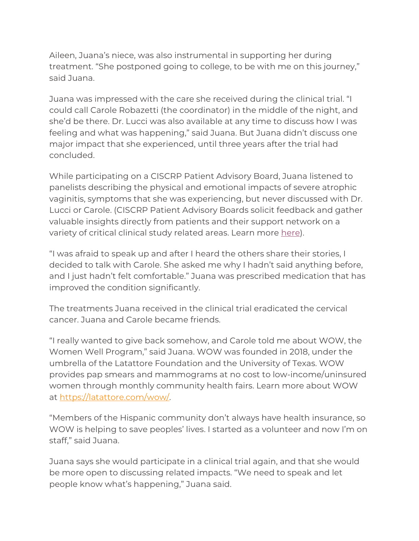Aileen, Juana's niece, was also instrumental in supporting her during treatment. "She postponed going to college, to be with me on this journey," said Juana.

Juana was impressed with the care she received during the clinical trial. "I could call Carole Robazetti (the coordinator) in the middle of the night, and she'd be there. Dr. Lucci was also available at any time to discuss how I was feeling and what was happening," said Juana. But Juana didn't discuss one major impact that she experienced, until three years after the trial had concluded.

While participating on a CISCRP Patient Advisory Board, Juana listened to panelists describing the physical and emotional impacts of severe atrophic vaginitis, symptoms that she was experiencing, but never discussed with Dr. Lucci or Carole. (CISCRP Patient Advisory Boards solicit feedback and gather valuable insights directly from patients and their support network on a variety of critical clinical study related areas. Learn more [here\)](https://www.ciscrp.org/wp-content/uploads/2020/08/PAB-Flyer-LP-edit-1.pdf).

"I was afraid to speak up and after I heard the others share their stories, I decided to talk with Carole. She asked me why I hadn't said anything before, and I just hadn't felt comfortable." Juana was prescribed medication that has improved the condition significantly.

The treatments Juana received in the clinical trial eradicated the cervical cancer. Juana and Carole became friends.

"I really wanted to give back somehow, and Carole told me about WOW, the Women Well Program," said Juana. WOW was founded in 2018, under the umbrella of the Latattore Foundation and the University of Texas. WOW provides pap smears and mammograms at no cost to low-income/uninsured women through monthly community health fairs. Learn more about WOW at [https://latattore.com/wow/.](https://latattore.com/wow/)

"Members of the Hispanic community don't always have health insurance, so WOW is helping to save peoples' lives. I started as a volunteer and now I'm on staff," said Juana.

Juana says she would participate in a clinical trial again, and that she would be more open to discussing related impacts. "We need to speak and let people know what's happening," Juana said.